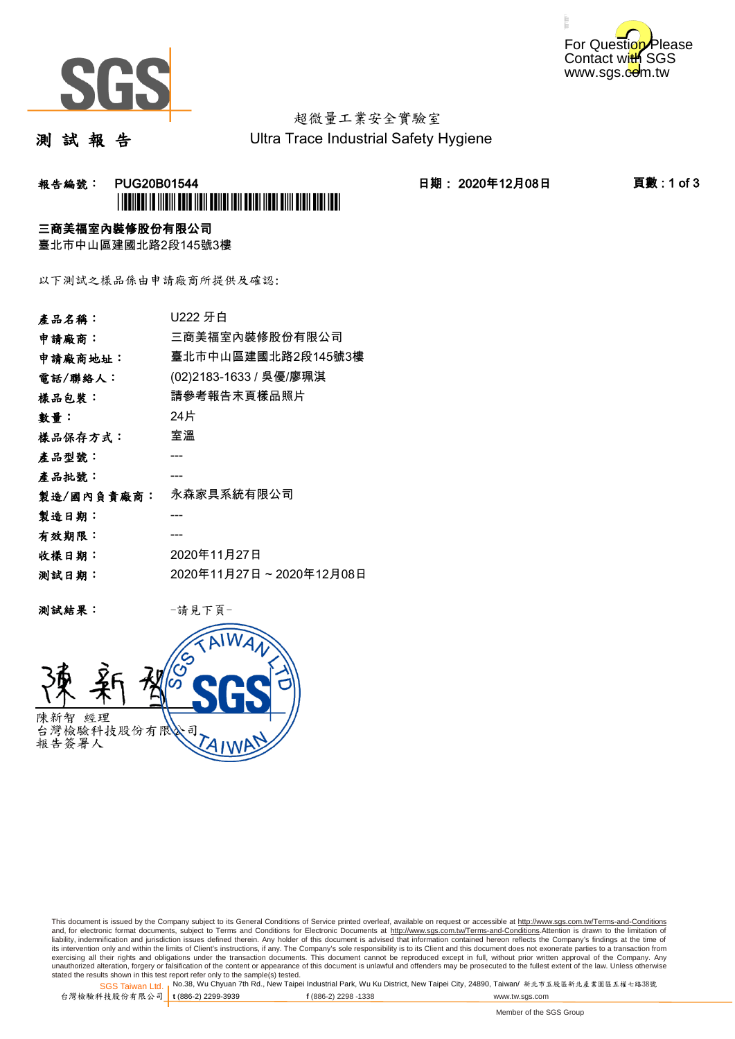



# 超微量工業安全實驗室

測 試 報 告

Ultra Trace Industrial Safety Hygiene

## **報告編號: PUG20B01544 日期: 2020年12月08日 頁數:1 of 3** \*PUG20B01544\*

### 三商美福室內裝修股份有限公司

臺北市中山區建國北路2段145號3樓

以下測試之樣品係由申請廠商所提供及確認:

| 產品名稱:      | U222 牙白                 |
|------------|-------------------------|
| 申請廠商:      | 三商美福室內裝修股份有限公司          |
| 申請廠商地址:    | 臺北市中山區建國北路2段145號3樓      |
| 電話/聯絡人:    | (02)2183-1633 / 吳優/廖珮淇  |
| 樣品包裝:      | 請參考報告末頁樣品照片             |
| 數量:        | 24片                     |
| 樣品保存方式:    | 室溫                      |
| 產品型號:      |                         |
| 產品批號:      |                         |
| 製造/國內負責廠商: | 永森家具系統有限公司              |
| 製造日期:      |                         |
| 有效期限:      |                         |
| 收樣日期:      | 2020年11月27日             |
| 测試日期:      | 2020年11月27日~2020年12月08日 |
|            |                         |

测試結果: 一請見下頁



This document is issued by the Company subject to its General Conditions of Service printed overleaf, available on request or accessible at http://www.sgs.com.tw/Terms-and-Conditions and, for electronic format documents, subject to Terms and Conditions for Electronic Documents at <u>http://www.sgs.com.tw/Terms-and-Conditions</u>.Attention is drawn to the limitation of<br>liability, indemnification and jurisdic exercising all their rights and obligations under the transaction documents. This document cannot be reproduced except in full, without prior written approval of the Company. Any<br>unauthorized alteration, forgery or falsifi

SGS Taiwan Ltd. 1 stated the results shown in this test report refer only to the sample(s) tested.<br>Stated the results shown in this test report refer only to the sample(s) tested.

台灣檢驗科技股份有限公司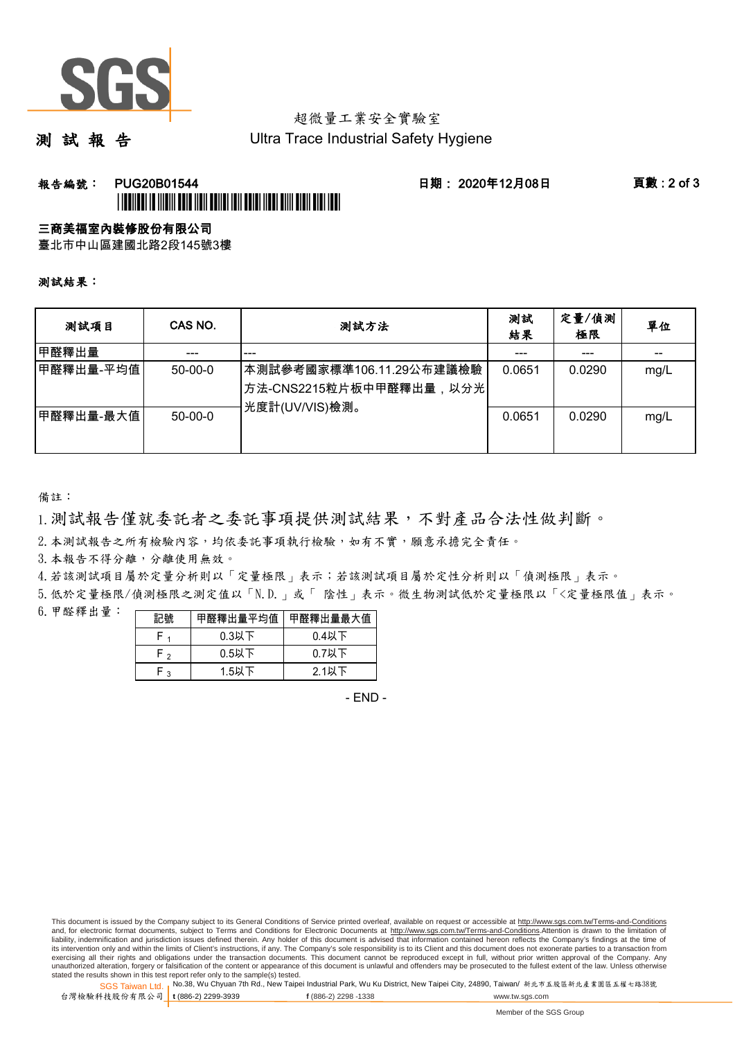

## 超微量工業安全實驗室

測 試 報 告

Ultra Trace Industrial Safety Hygiene

### 報告編號: PUG20B01544 日期: 2020年12月08日 頁數 : 2 of 3 \*PUG20B01544\*

#### 三商美福室內裝修股份有限公司

臺北市中山區建國北路2段145號3樓

測試結果:

| 测試項目      | CAS NO.       | 測試方法                                                                                | 測試<br>結果 | 定量/偵測<br>極限 | 單位   |
|-----------|---------------|-------------------------------------------------------------------------------------|----------|-------------|------|
| 甲醛釋出量     |               | ---                                                                                 |          | ---         |      |
| 甲醛釋出量-平均值 | $50 - 00 - 0$ | 本測試參考國家標準106.11.29公布建議檢驗<br><sup> </sup> 方法-CNS2215粒片板中甲醛釋出量,以分光 <br>光度計(UV/VIS)檢測。 | 0.0651   | 0.0290      | mg/L |
| 甲醛釋出量-最大值 | $50 - 00 - 0$ |                                                                                     | 0.0651   | 0.0290      | mg/L |

備註:

1.測試報告僅就委託者之委託事項提供測試結果,不對產品合法性做判斷。

2.本測試報告之所有檢驗內容,均依委託事項執行檢驗,如有不實,願意承擔完全責任。

3. 本報告不得分離,分離使用無效。

4.若該測試項目屬於定量分析則以「定量極限」表示;若該測試項目屬於定性分析則以「偵測極限」表示。

5.低於定量極限/偵測極限之測定值以「N.D.」或「 陰性」表示。微生物測試低於定量極限以「<定量極限值」表示。

6.甲醛釋出量:

| 記號  | 甲醛釋出量平均值丨 | 甲醛釋出量最大值 |  |  |
|-----|-----------|----------|--|--|
|     | $0.3$ 以下  | $0.4$ 以下 |  |  |
| ົ່າ | $0.5$ 以下  | $0.7$ 以下 |  |  |
| ົ   | $1.5$ 以下  | $2.1$ 以下 |  |  |

- END -

This document is issued by the Company subject to its General Conditions of Service printed overleaf, available on request or accessible at http://www.sgs.com.tw/Terms-and-Conditions and, for electronic format documents, subject to Terms and Conditions for Electronic Documents at http://www.sgs.com.tw/Terms-and-Conditions.Attention is drawn to the limitation of liability, indemnification and jurisdiction issues defined therein. Any holder of this document is advised that information contained hereon reflects the Company's findings at the time of<br>its intervention only and within t exercising all their rights and obligations under the transaction documents. This document cannot be reproduced except in full, without prior written approval of the Company. Any<br>unauthorized alteration, forgery or falsifi

SGS Taiwan Ltd. 1 stated the results shown in this test report refer only to the sample(s) tested.<br>Stated the results shown in this test report refer only to the sample(s) tested.

台灣檢驗科技股份有限公司

**t** (886-2) 2299-3939 **f** (886-2) 2298 -1338 www.tw.sgs.com